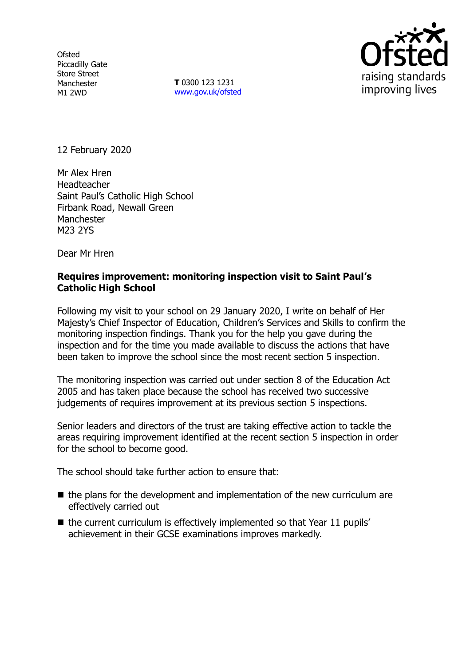**Ofsted** Piccadilly Gate Store Street Manchester M1 2WD

**T** 0300 123 1231 [www.gov.uk/ofsted](http://www.gov.uk/ofsted)



12 February 2020

Mr Alex Hren Headteacher Saint Paul's Catholic High School Firbank Road, Newall Green Manchester M23 2YS

Dear Mr Hren

## **Requires improvement: monitoring inspection visit to Saint Paul's Catholic High School**

Following my visit to your school on 29 January 2020, I write on behalf of Her Majesty's Chief Inspector of Education, Children's Services and Skills to confirm the monitoring inspection findings. Thank you for the help you gave during the inspection and for the time you made available to discuss the actions that have been taken to improve the school since the most recent section 5 inspection.

The monitoring inspection was carried out under section 8 of the Education Act 2005 and has taken place because the school has received two successive judgements of requires improvement at its previous section 5 inspections.

Senior leaders and directors of the trust are taking effective action to tackle the areas requiring improvement identified at the recent section 5 inspection in order for the school to become good.

The school should take further action to ensure that:

- the plans for the development and implementation of the new curriculum are effectively carried out
- $\blacksquare$  the current curriculum is effectively implemented so that Year 11 pupils' achievement in their GCSE examinations improves markedly.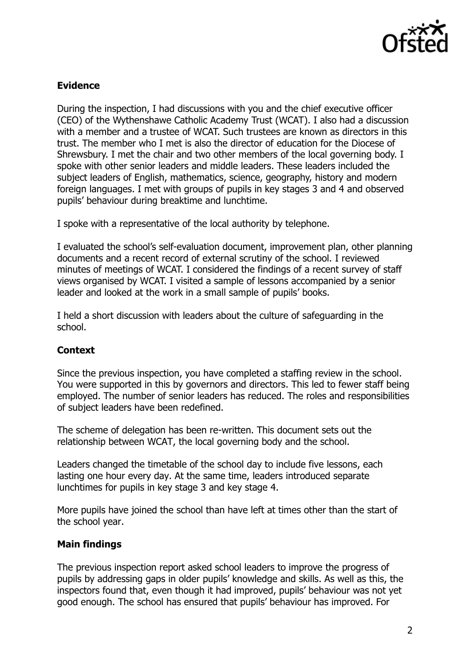

# **Evidence**

During the inspection, I had discussions with you and the chief executive officer (CEO) of the Wythenshawe Catholic Academy Trust (WCAT). I also had a discussion with a member and a trustee of WCAT. Such trustees are known as directors in this trust. The member who I met is also the director of education for the Diocese of Shrewsbury. I met the chair and two other members of the local governing body. I spoke with other senior leaders and middle leaders. These leaders included the subject leaders of English, mathematics, science, geography, history and modern foreign languages. I met with groups of pupils in key stages 3 and 4 and observed pupils' behaviour during breaktime and lunchtime.

I spoke with a representative of the local authority by telephone.

I evaluated the school's self-evaluation document, improvement plan, other planning documents and a recent record of external scrutiny of the school. I reviewed minutes of meetings of WCAT. I considered the findings of a recent survey of staff views organised by WCAT. I visited a sample of lessons accompanied by a senior leader and looked at the work in a small sample of pupils' books.

I held a short discussion with leaders about the culture of safeguarding in the school.

## **Context**

Since the previous inspection, you have completed a staffing review in the school. You were supported in this by governors and directors. This led to fewer staff being employed. The number of senior leaders has reduced. The roles and responsibilities of subject leaders have been redefined.

The scheme of delegation has been re-written. This document sets out the relationship between WCAT, the local governing body and the school.

Leaders changed the timetable of the school day to include five lessons, each lasting one hour every day. At the same time, leaders introduced separate lunchtimes for pupils in key stage 3 and key stage 4.

More pupils have joined the school than have left at times other than the start of the school year.

## **Main findings**

The previous inspection report asked school leaders to improve the progress of pupils by addressing gaps in older pupils' knowledge and skills. As well as this, the inspectors found that, even though it had improved, pupils' behaviour was not yet good enough. The school has ensured that pupils' behaviour has improved. For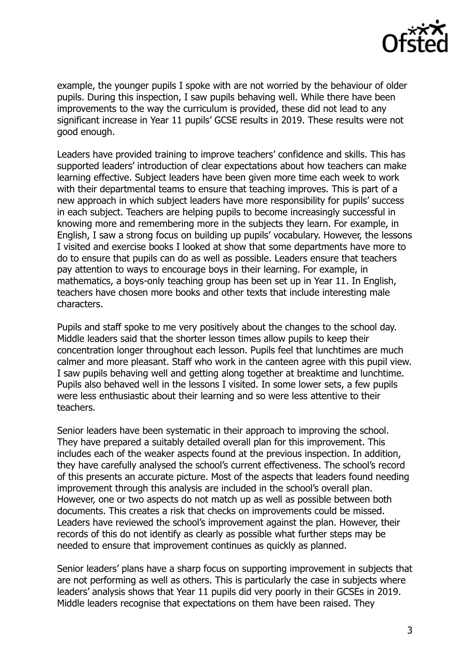

example, the younger pupils I spoke with are not worried by the behaviour of older pupils. During this inspection, I saw pupils behaving well. While there have been improvements to the way the curriculum is provided, these did not lead to any significant increase in Year 11 pupils' GCSE results in 2019. These results were not good enough.

Leaders have provided training to improve teachers' confidence and skills. This has supported leaders' introduction of clear expectations about how teachers can make learning effective. Subject leaders have been given more time each week to work with their departmental teams to ensure that teaching improves. This is part of a new approach in which subject leaders have more responsibility for pupils' success in each subject. Teachers are helping pupils to become increasingly successful in knowing more and remembering more in the subjects they learn. For example, in English, I saw a strong focus on building up pupils' vocabulary. However, the lessons I visited and exercise books I looked at show that some departments have more to do to ensure that pupils can do as well as possible. Leaders ensure that teachers pay attention to ways to encourage boys in their learning. For example, in mathematics, a boys-only teaching group has been set up in Year 11. In English, teachers have chosen more books and other texts that include interesting male characters.

Pupils and staff spoke to me very positively about the changes to the school day. Middle leaders said that the shorter lesson times allow pupils to keep their concentration longer throughout each lesson. Pupils feel that lunchtimes are much calmer and more pleasant. Staff who work in the canteen agree with this pupil view. I saw pupils behaving well and getting along together at breaktime and lunchtime. Pupils also behaved well in the lessons I visited. In some lower sets, a few pupils were less enthusiastic about their learning and so were less attentive to their teachers.

Senior leaders have been systematic in their approach to improving the school. They have prepared a suitably detailed overall plan for this improvement. This includes each of the weaker aspects found at the previous inspection. In addition, they have carefully analysed the school's current effectiveness. The school's record of this presents an accurate picture. Most of the aspects that leaders found needing improvement through this analysis are included in the school's overall plan. However, one or two aspects do not match up as well as possible between both documents. This creates a risk that checks on improvements could be missed. Leaders have reviewed the school's improvement against the plan. However, their records of this do not identify as clearly as possible what further steps may be needed to ensure that improvement continues as quickly as planned.

Senior leaders' plans have a sharp focus on supporting improvement in subjects that are not performing as well as others. This is particularly the case in subjects where leaders' analysis shows that Year 11 pupils did very poorly in their GCSEs in 2019. Middle leaders recognise that expectations on them have been raised. They